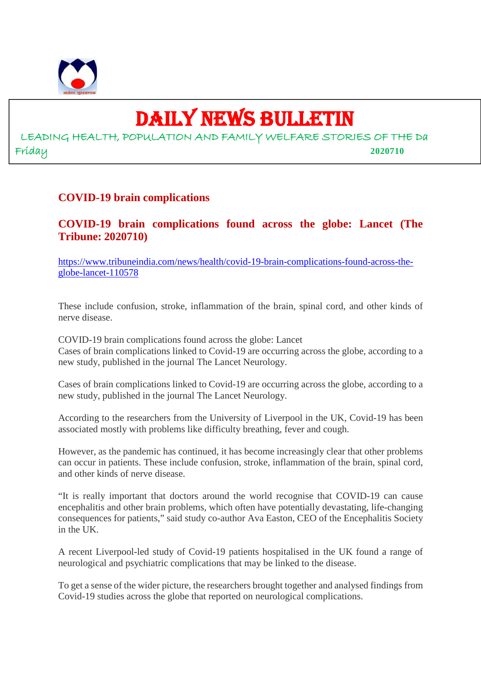

# DAILY NEWS BULLETIN

LEADING HEALTH, POPULATION AND FAMILY WELFARE STORIES OF THE Da Friday **2020710**

#### **COVID-19 brain complications**

**COVID-19 brain complications found across the globe: Lancet (The Tribune: 2020710)**

https://www.tribuneindia.com/news/health/covid-19-brain-complications-found-across-theglobe-lancet-110578

These include confusion, stroke, inflammation of the brain, spinal cord, and other kinds of nerve disease.

COVID-19 brain complications found across the globe: Lancet Cases of brain complications linked to Covid-19 are occurring across the globe, according to a new study, published in the journal The Lancet Neurology.

Cases of brain complications linked to Covid-19 are occurring across the globe, according to a new study, published in the journal The Lancet Neurology.

According to the researchers from the University of Liverpool in the UK, Covid-19 has been associated mostly with problems like difficulty breathing, fever and cough.

However, as the pandemic has continued, it has become increasingly clear that other problems can occur in patients. These include confusion, stroke, inflammation of the brain, spinal cord, and other kinds of nerve disease.

"It is really important that doctors around the world recognise that COVID-19 can cause encephalitis and other brain problems, which often have potentially devastating, life-changing consequences for patients," said study co-author Ava Easton, CEO of the Encephalitis Society in the UK.

A recent Liverpool-led study of Covid-19 patients hospitalised in the UK found a range of neurological and psychiatric complications that may be linked to the disease.

To get a sense of the wider picture, the researchers brought together and analysed findings from Covid-19 studies across the globe that reported on neurological complications.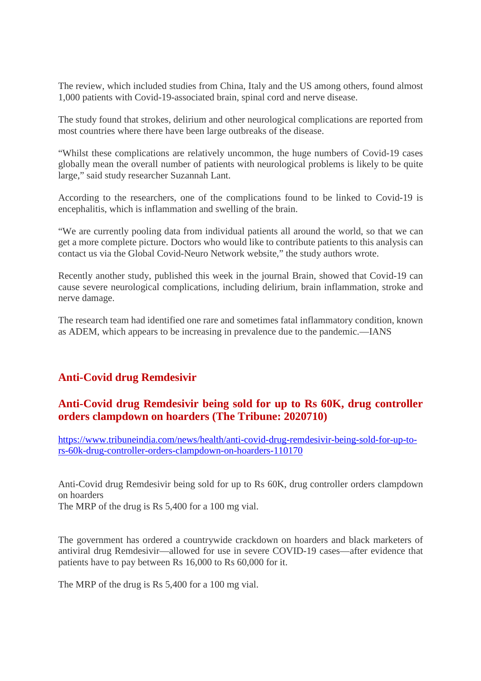The review, which included studies from China, Italy and the US among others, found almost 1,000 patients with Covid-19-associated brain, spinal cord and nerve disease.

The study found that strokes, delirium and other neurological complications are reported from most countries where there have been large outbreaks of the disease.

"Whilst these complications are relatively uncommon, the huge numbers of Covid-19 cases globally mean the overall number of patients with neurological problems is likely to be quite large," said study researcher Suzannah Lant.

According to the researchers, one of the complications found to be linked to Covid-19 is encephalitis, which is inflammation and swelling of the brain.

"We are currently pooling data from individual patients all around the world, so that we can get a more complete picture. Doctors who would like to contribute patients to this analysis can contact us via the Global Covid-Neuro Network website," the study authors wrote.

Recently another study, published this week in the journal Brain, showed that Covid-19 can cause severe neurological complications, including delirium, brain inflammation, stroke and nerve damage.

The research team had identified one rare and sometimes fatal inflammatory condition, known as ADEM, which appears to be increasing in prevalence due to the pandemic.—IANS

#### **Anti-Covid drug Remdesivir**

#### **Anti-Covid drug Remdesivir being sold for up to Rs 60K, drug controller orders clampdown on hoarders (The Tribune: 2020710)**

https://www.tribuneindia.com/news/health/anti-covid-drug-remdesivir-being-sold-for-up-tors-60k-drug-controller-orders-clampdown-on-hoarders-110170

Anti-Covid drug Remdesivir being sold for up to Rs 60K, drug controller orders clampdown on hoarders

The MRP of the drug is Rs 5,400 for a 100 mg vial.

The government has ordered a countrywide crackdown on hoarders and black marketers of antiviral drug Remdesivir—allowed for use in severe COVID-19 cases—after evidence that patients have to pay between Rs 16,000 to Rs 60,000 for it.

The MRP of the drug is Rs 5,400 for a 100 mg vial.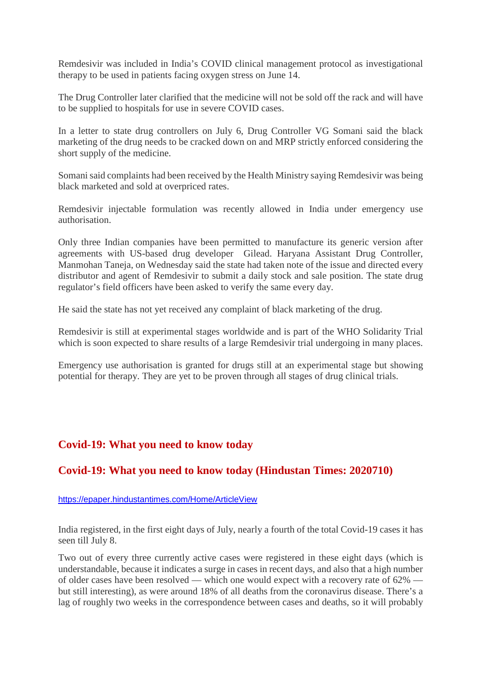Remdesivir was included in India's COVID clinical management protocol as investigational therapy to be used in patients facing oxygen stress on June 14.

The Drug Controller later clarified that the medicine will not be sold off the rack and will have to be supplied to hospitals for use in severe COVID cases.

In a letter to state drug controllers on July 6, Drug Controller VG Somani said the black marketing of the drug needs to be cracked down on and MRP strictly enforced considering the short supply of the medicine.

Somani said complaints had been received by the Health Ministry saying Remdesivir was being black marketed and sold at overpriced rates.

Remdesivir injectable formulation was recently allowed in India under emergency use authorisation.

Only three Indian companies have been permitted to manufacture its generic version after agreements with US-based drug developer Gilead. Haryana Assistant Drug Controller, Manmohan Taneja, on Wednesday said the state had taken note of the issue and directed every distributor and agent of Remdesivir to submit a daily stock and sale position. The state drug regulator's field officers have been asked to verify the same every day.

He said the state has not yet received any complaint of black marketing of the drug.

Remdesivir is still at experimental stages worldwide and is part of the WHO Solidarity Trial which is soon expected to share results of a large Remdesivir trial undergoing in many places.

Emergency use authorisation is granted for drugs still at an experimental stage but showing potential for therapy. They are yet to be proven through all stages of drug clinical trials.

#### **Covid-19: What you need to know today**

#### **Covid-19: What you need to know today (Hindustan Times: 2020710)**

https://epaper.hindustantimes.com/Home/ArticleView

India registered, in the first eight days of July, nearly a fourth of the total Covid-19 cases it has seen till July 8.

Two out of every three currently active cases were registered in these eight days (which is understandable, because it indicates a surge in cases in recent days, and also that a high number of older cases have been resolved — which one would expect with a recovery rate of 62% but still interesting), as were around 18% of all deaths from the coronavirus disease. There's a lag of roughly two weeks in the correspondence between cases and deaths, so it will probably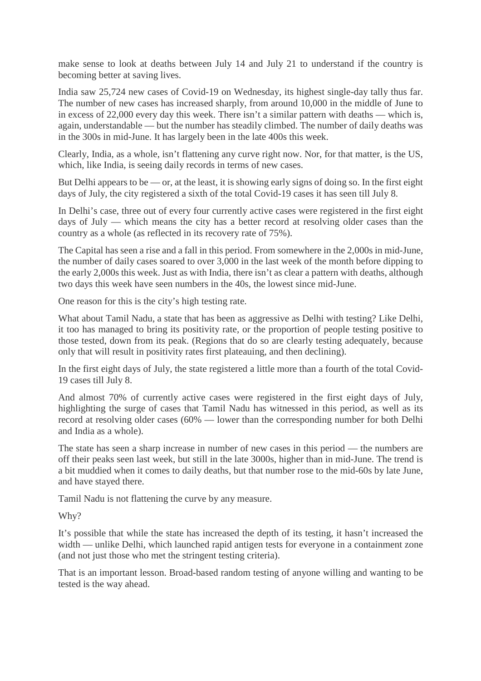make sense to look at deaths between July 14 and July 21 to understand if the country is becoming better at saving lives.

India saw 25,724 new cases of Covid-19 on Wednesday, its highest single-day tally thus far. The number of new cases has increased sharply, from around 10,000 in the middle of June to in excess of 22,000 every day this week. There isn't a similar pattern with deaths — which is, again, understandable — but the number has steadily climbed. The number of daily deaths was in the 300s in mid-June. It has largely been in the late 400s this week.

Clearly, India, as a whole, isn't flattening any curve right now. Nor, for that matter, is the US, which, like India, is seeing daily records in terms of new cases.

But Delhi appears to be — or, at the least, it is showing early signs of doing so. In the first eight days of July, the city registered a sixth of the total Covid-19 cases it has seen till July 8.

In Delhi's case, three out of every four currently active cases were registered in the first eight days of July — which means the city has a better record at resolving older cases than the country as a whole (as reflected in its recovery rate of 75%).

The Capital has seen a rise and a fall in this period. From somewhere in the 2,000s in mid-June, the number of daily cases soared to over 3,000 in the last week of the month before dipping to the early 2,000s this week. Just as with India, there isn't as clear a pattern with deaths, although two days this week have seen numbers in the 40s, the lowest since mid-June.

One reason for this is the city's high testing rate.

What about Tamil Nadu, a state that has been as aggressive as Delhi with testing? Like Delhi, it too has managed to bring its positivity rate, or the proportion of people testing positive to those tested, down from its peak. (Regions that do so are clearly testing adequately, because only that will result in positivity rates first plateauing, and then declining).

In the first eight days of July, the state registered a little more than a fourth of the total Covid-19 cases till July 8.

And almost 70% of currently active cases were registered in the first eight days of July, highlighting the surge of cases that Tamil Nadu has witnessed in this period, as well as its record at resolving older cases (60% — lower than the corresponding number for both Delhi and India as a whole).

The state has seen a sharp increase in number of new cases in this period — the numbers are off their peaks seen last week, but still in the late 3000s, higher than in mid-June. The trend is a bit muddied when it comes to daily deaths, but that number rose to the mid-60s by late June, and have stayed there.

Tamil Nadu is not flattening the curve by any measure.

Why?

It's possible that while the state has increased the depth of its testing, it hasn't increased the width — unlike Delhi, which launched rapid antigen tests for everyone in a containment zone (and not just those who met the stringent testing criteria).

That is an important lesson. Broad-based random testing of anyone willing and wanting to be tested is the way ahead.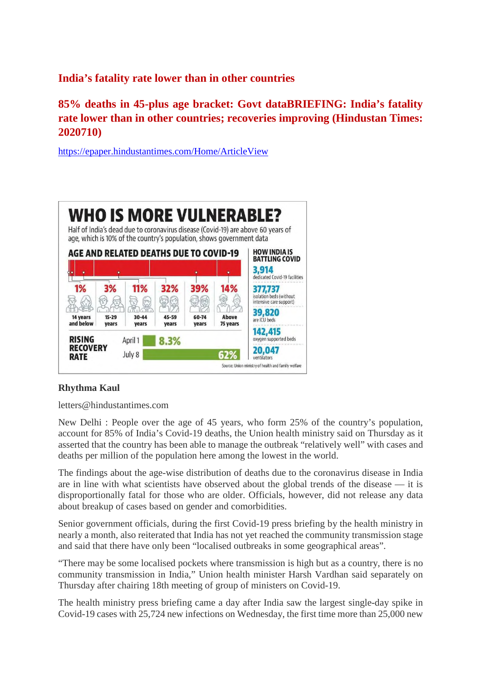#### **India's fatality rate lower than in other countries**

#### **85% deaths in 45-plus age bracket: Govt dataBRIEFING: India's fatality rate lower than in other countries; recoveries improving (Hindustan Times: 2020710)**

https://epaper.hindustantimes.com/Home/ArticleView



#### **Rhythma Kaul**

letters@hindustantimes.com

New Delhi : People over the age of 45 years, who form 25% of the country's population, account for 85% of India's Covid-19 deaths, the Union health ministry said on Thursday as it asserted that the country has been able to manage the outbreak "relatively well" with cases and deaths per million of the population here among the lowest in the world.

The findings about the age-wise distribution of deaths due to the coronavirus disease in India are in line with what scientists have observed about the global trends of the disease — it is disproportionally fatal for those who are older. Officials, however, did not release any data about breakup of cases based on gender and comorbidities.

Senior government officials, during the first Covid-19 press briefing by the health ministry in nearly a month, also reiterated that India has not yet reached the community transmission stage and said that there have only been "localised outbreaks in some geographical areas".

"There may be some localised pockets where transmission is high but as a country, there is no community transmission in India," Union health minister Harsh Vardhan said separately on Thursday after chairing 18th meeting of group of ministers on Covid-19.

The health ministry press briefing came a day after India saw the largest single-day spike in Covid-19 cases with 25,724 new infections on Wednesday, the first time more than 25,000 new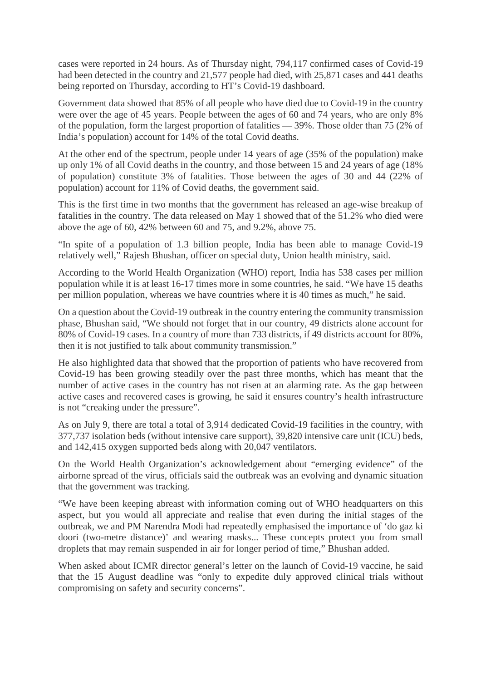cases were reported in 24 hours. As of Thursday night, 794,117 confirmed cases of Covid-19 had been detected in the country and 21,577 people had died, with 25,871 cases and 441 deaths being reported on Thursday, according to HT's Covid-19 dashboard.

Government data showed that 85% of all people who have died due to Covid-19 in the country were over the age of 45 years. People between the ages of 60 and 74 years, who are only 8% of the population, form the largest proportion of fatalities — 39%. Those older than 75 (2% of India's population) account for 14% of the total Covid deaths.

At the other end of the spectrum, people under 14 years of age (35% of the population) make up only 1% of all Covid deaths in the country, and those between 15 and 24 years of age (18% of population) constitute 3% of fatalities. Those between the ages of 30 and 44 (22% of population) account for 11% of Covid deaths, the government said.

This is the first time in two months that the government has released an age-wise breakup of fatalities in the country. The data released on May 1 showed that of the 51.2% who died were above the age of 60, 42% between 60 and 75, and 9.2%, above 75.

"In spite of a population of 1.3 billion people, India has been able to manage Covid-19 relatively well," Rajesh Bhushan, officer on special duty, Union health ministry, said.

According to the World Health Organization (WHO) report, India has 538 cases per million population while it is at least 16-17 times more in some countries, he said. "We have 15 deaths per million population, whereas we have countries where it is 40 times as much," he said.

On a question about the Covid-19 outbreak in the country entering the community transmission phase, Bhushan said, "We should not forget that in our country, 49 districts alone account for 80% of Covid-19 cases. In a country of more than 733 districts, if 49 districts account for 80%, then it is not justified to talk about community transmission."

He also highlighted data that showed that the proportion of patients who have recovered from Covid-19 has been growing steadily over the past three months, which has meant that the number of active cases in the country has not risen at an alarming rate. As the gap between active cases and recovered cases is growing, he said it ensures country's health infrastructure is not "creaking under the pressure".

As on July 9, there are total a total of 3,914 dedicated Covid-19 facilities in the country, with 377,737 isolation beds (without intensive care support), 39,820 intensive care unit (ICU) beds, and 142,415 oxygen supported beds along with 20,047 ventilators.

On the World Health Organization's acknowledgement about "emerging evidence" of the airborne spread of the virus, officials said the outbreak was an evolving and dynamic situation that the government was tracking.

"We have been keeping abreast with information coming out of WHO headquarters on this aspect, but you would all appreciate and realise that even during the initial stages of the outbreak, we and PM Narendra Modi had repeatedly emphasised the importance of 'do gaz ki doori (two-metre distance)' and wearing masks... These concepts protect you from small droplets that may remain suspended in air for longer period of time," Bhushan added.

When asked about ICMR director general's letter on the launch of Covid-19 vaccine, he said that the 15 August deadline was "only to expedite duly approved clinical trials without compromising on safety and security concerns".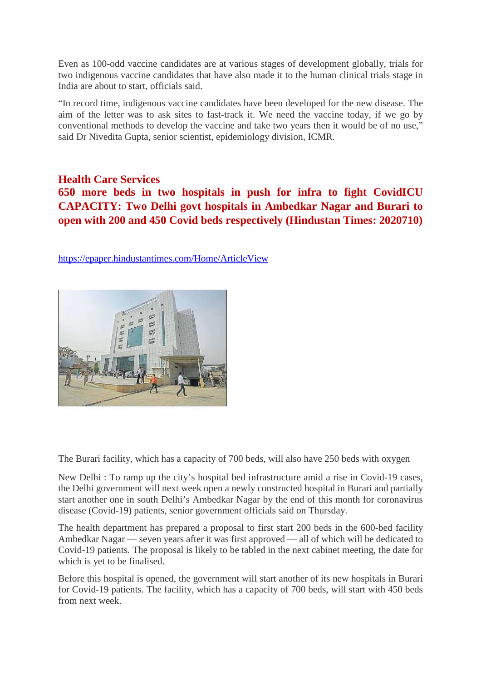Even as 100-odd vaccine candidates are at various stages of development globally, trials for two indigenous vaccine candidates that have also made it to the human clinical trials stage in India are about to start, officials said.

"In record time, indigenous vaccine candidates have been developed for the new disease. The aim of the letter was to ask sites to fast-track it. We need the vaccine today, if we go by conventional methods to develop the vaccine and take two years then it would be of no use," said Dr Nivedita Gupta, senior scientist, epidemiology division, ICMR.

#### **Health Care Services**

**650 more beds in two hospitals in push for infra to fight CovidICU CAPACITY: Two Delhi govt hospitals in Ambedkar Nagar and Burari to open with 200 and 450 Covid beds respectively (Hindustan Times: 2020710)**

https://epaper.hindustantimes.com/Home/ArticleView



The Burari facility, which has a capacity of 700 beds, will also have 250 beds with oxygen

New Delhi : To ramp up the city's hospital bed infrastructure amid a rise in Covid-19 cases, the Delhi government will next week open a newly constructed hospital in Burari and partially start another one in south Delhi's Ambedkar Nagar by the end of this month for coronavirus disease (Covid-19) patients, senior government officials said on Thursday.

The health department has prepared a proposal to first start 200 beds in the 600-bed facility Ambedkar Nagar — seven years after it was first approved — all of which will be dedicated to Covid-19 patients. The proposal is likely to be tabled in the next cabinet meeting, the date for which is yet to be finalised.

Before this hospital is opened, the government will start another of its new hospitals in Burari for Covid-19 patients. The facility, which has a capacity of 700 beds, will start with 450 beds from next week.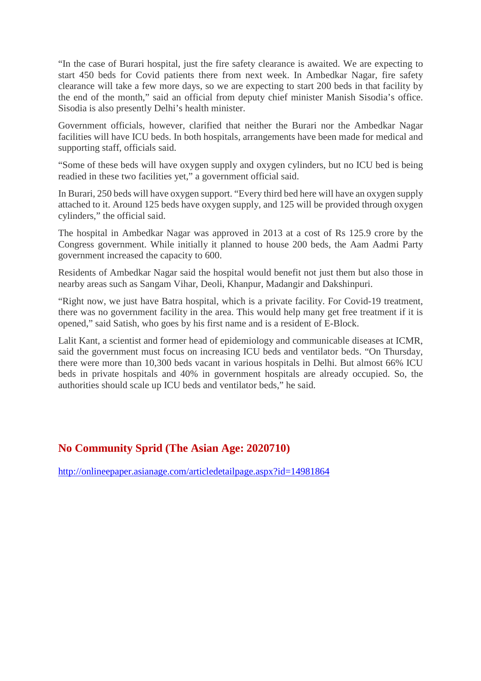"In the case of Burari hospital, just the fire safety clearance is awaited. We are expecting to start 450 beds for Covid patients there from next week. In Ambedkar Nagar, fire safety clearance will take a few more days, so we are expecting to start 200 beds in that facility by the end of the month," said an official from deputy chief minister Manish Sisodia's office. Sisodia is also presently Delhi's health minister.

Government officials, however, clarified that neither the Burari nor the Ambedkar Nagar facilities will have ICU beds. In both hospitals, arrangements have been made for medical and supporting staff, officials said.

"Some of these beds will have oxygen supply and oxygen cylinders, but no ICU bed is being readied in these two facilities yet," a government official said.

In Burari, 250 beds will have oxygen support. "Every third bed here will have an oxygen supply attached to it. Around 125 beds have oxygen supply, and 125 will be provided through oxygen cylinders," the official said.

The hospital in Ambedkar Nagar was approved in 2013 at a cost of Rs 125.9 crore by the Congress government. While initially it planned to house 200 beds, the Aam Aadmi Party government increased the capacity to 600.

Residents of Ambedkar Nagar said the hospital would benefit not just them but also those in nearby areas such as Sangam Vihar, Deoli, Khanpur, Madangir and Dakshinpuri.

"Right now, we just have Batra hospital, which is a private facility. For Covid-19 treatment, there was no government facility in the area. This would help many get free treatment if it is opened," said Satish, who goes by his first name and is a resident of E-Block.

Lalit Kant, a scientist and former head of epidemiology and communicable diseases at ICMR, said the government must focus on increasing ICU beds and ventilator beds. "On Thursday, there were more than 10,300 beds vacant in various hospitals in Delhi. But almost 66% ICU beds in private hospitals and 40% in government hospitals are already occupied. So, the authorities should scale up ICU beds and ventilator beds," he said.

#### **No Community Sprid (The Asian Age: 2020710)**

http://onlineepaper.asianage.com/articledetailpage.aspx?id=14981864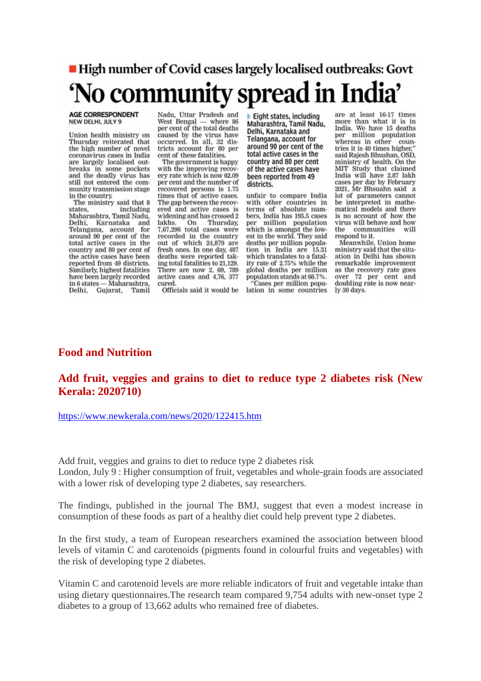## High number of Covid cases largely localised outbreaks: Govt 'No community spread in India'

#### AGE CORRESPONDENT NEW DELHI, JULY 9

Union health ministry on Thursday reiterated that the high number of novel coronavirus cases in India are largely localised outbreaks in some pockets<br>and the deadly virus has still not entered the community transmission stage in the country.

The ministry said that 8 including states. Maharashtra, Tamil Nadu, Delhi, Karnataka and Telangana, account for around 90 per cent of the total active cases in the country and 80 per cent of the active cases have been reported from 49 districts. Similarly, highest fatalities have been largely recorded in 6 states - Maharashtra, Delhi, Gujarat, Tamil

Nadu, Uttar Pradesh and<br>West Bengal — where 86 per cent of the total deaths caused by the virus have occurred. In all, 32 districts account for 80 per cent of these fatalities.

The government is happy with the improving recovery rate which is now 62.09 per cent and the number of recovered persons is 1.75 times that of active cases. The gap between the recovered and active cases is widening and has crossed 2 lakhs. On Thursday. 7,67,296 total cases were recorded in the country out of which 24,879 are fresh ones. In one day, 487 deaths were reported taking total fatalities to 21,129. There are now 2, 69, 789 active cases and 4,76, 377 cured.

Eight states, including Maharashtra, Tamil Nadu, Delhi, Karnataka and Telangana, account for around 90 per cent of the total active cases in the country and 80 per cent of the active cases have been reported from 49 districts.

unfair to compare India with other countries in terms of absolute numbers, India has 195.5 cases per million population which is amongst the lowest in the world. They said deaths per million population in India are 15.31 which translates to a fatality rate of 2.75% while the global deaths per million population stands at 68.7%. "Cases per million population in some countries

are at least 16-17 times more than what it is in India. We have 15 deaths per million population<br>whereas in other countries it is 40 times higher," said Rajesh Bhushan, OSD, ministry of health. On the MIT Study that claimed India will have 2.87 lakh cases per day by February 2021. Mr Bhsuahn said a lot of parameters cannot be interpreted in mathematical models and there is no account of how the virus will behave and how the communities will respond to it.

Meanwhile, Union home ministry said that the situation in Delhi has shown remarkable improvement as the recovery rate goes over 72 per cent and doubling rate is now nearly 30 days.

#### Officials said it would be

#### **Food and Nutrition**

#### **Add fruit, veggies and grains to diet to reduce type 2 diabetes risk (New Kerala: 2020710)**

https://www.newkerala.com/news/2020/122415.htm

Add fruit, veggies and grains to diet to reduce type 2 diabetes risk London, July 9 : Higher consumption of fruit, vegetables and whole-grain foods are associated with a lower risk of developing type 2 diabetes, say researchers.

The findings, published in the journal The BMJ, suggest that even a modest increase in consumption of these foods as part of a healthy diet could help prevent type 2 diabetes.

In the first study, a team of European researchers examined the association between blood levels of vitamin C and carotenoids (pigments found in colourful fruits and vegetables) with the risk of developing type 2 diabetes.

Vitamin C and carotenoid levels are more reliable indicators of fruit and vegetable intake than using dietary questionnaires.The research team compared 9,754 adults with new-onset type 2 diabetes to a group of 13,662 adults who remained free of diabetes.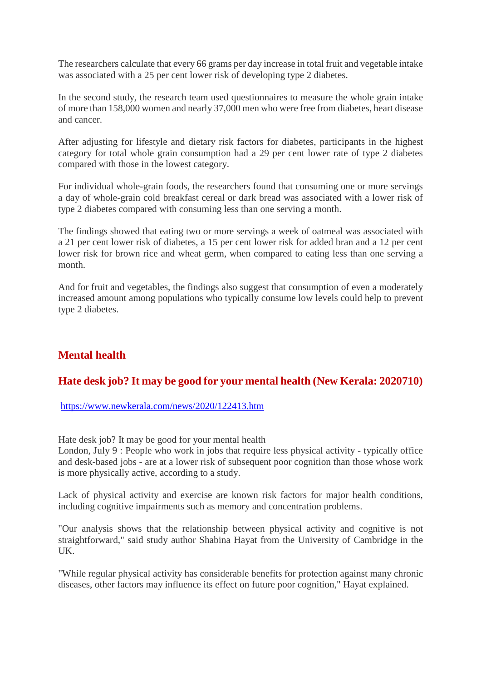The researchers calculate that every 66 grams per day increase in total fruit and vegetable intake was associated with a 25 per cent lower risk of developing type 2 diabetes.

In the second study, the research team used questionnaires to measure the whole grain intake of more than 158,000 women and nearly 37,000 men who were free from diabetes, heart disease and cancer.

After adjusting for lifestyle and dietary risk factors for diabetes, participants in the highest category for total whole grain consumption had a 29 per cent lower rate of type 2 diabetes compared with those in the lowest category.

For individual whole-grain foods, the researchers found that consuming one or more servings a day of whole-grain cold breakfast cereal or dark bread was associated with a lower risk of type 2 diabetes compared with consuming less than one serving a month.

The findings showed that eating two or more servings a week of oatmeal was associated with a 21 per cent lower risk of diabetes, a 15 per cent lower risk for added bran and a 12 per cent lower risk for brown rice and wheat germ, when compared to eating less than one serving a month.

And for fruit and vegetables, the findings also suggest that consumption of even a moderately increased amount among populations who typically consume low levels could help to prevent type 2 diabetes.

#### **Mental health**

#### **Hate desk job? It may be good for your mental health (New Kerala: 2020710)**

https://www.newkerala.com/news/2020/122413.htm

Hate desk job? It may be good for your mental health

London, July 9 : People who work in jobs that require less physical activity - typically office and desk-based jobs - are at a lower risk of subsequent poor cognition than those whose work is more physically active, according to a study.

Lack of physical activity and exercise are known risk factors for major health conditions, including cognitive impairments such as memory and concentration problems.

"Our analysis shows that the relationship between physical activity and cognitive is not straightforward," said study author Shabina Hayat from the University of Cambridge in the UK.

"While regular physical activity has considerable benefits for protection against many chronic diseases, other factors may influence its effect on future poor cognition," Hayat explained.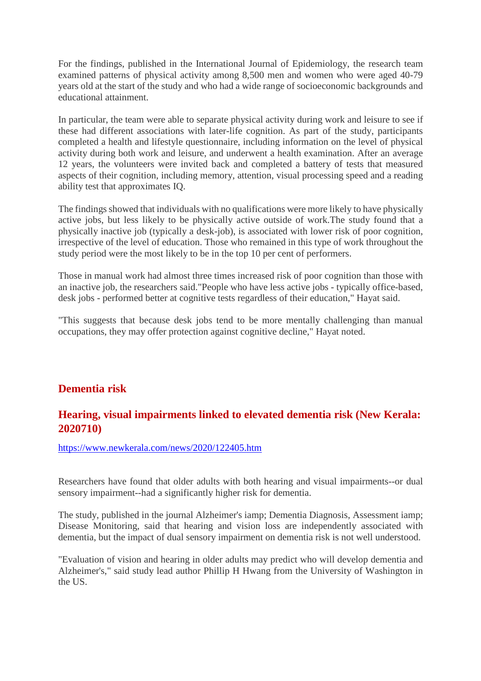For the findings, published in the International Journal of Epidemiology, the research team examined patterns of physical activity among 8,500 men and women who were aged 40-79 years old at the start of the study and who had a wide range of socioeconomic backgrounds and educational attainment.

In particular, the team were able to separate physical activity during work and leisure to see if these had different associations with later-life cognition. As part of the study, participants completed a health and lifestyle questionnaire, including information on the level of physical activity during both work and leisure, and underwent a health examination. After an average 12 years, the volunteers were invited back and completed a battery of tests that measured aspects of their cognition, including memory, attention, visual processing speed and a reading ability test that approximates IQ.

The findings showed that individuals with no qualifications were more likely to have physically active jobs, but less likely to be physically active outside of work.The study found that a physically inactive job (typically a desk-job), is associated with lower risk of poor cognition, irrespective of the level of education. Those who remained in this type of work throughout the study period were the most likely to be in the top 10 per cent of performers.

Those in manual work had almost three times increased risk of poor cognition than those with an inactive job, the researchers said."People who have less active jobs - typically office-based, desk jobs - performed better at cognitive tests regardless of their education," Hayat said.

"This suggests that because desk jobs tend to be more mentally challenging than manual occupations, they may offer protection against cognitive decline," Hayat noted.

#### **Dementia risk**

#### **Hearing, visual impairments linked to elevated dementia risk (New Kerala: 2020710)**

https://www.newkerala.com/news/2020/122405.htm

Researchers have found that older adults with both hearing and visual impairments--or dual sensory impairment--had a significantly higher risk for dementia.

The study, published in the journal Alzheimer's iamp; Dementia Diagnosis, Assessment iamp; Disease Monitoring, said that hearing and vision loss are independently associated with dementia, but the impact of dual sensory impairment on dementia risk is not well understood.

"Evaluation of vision and hearing in older adults may predict who will develop dementia and Alzheimer's," said study lead author Phillip H Hwang from the University of Washington in the US.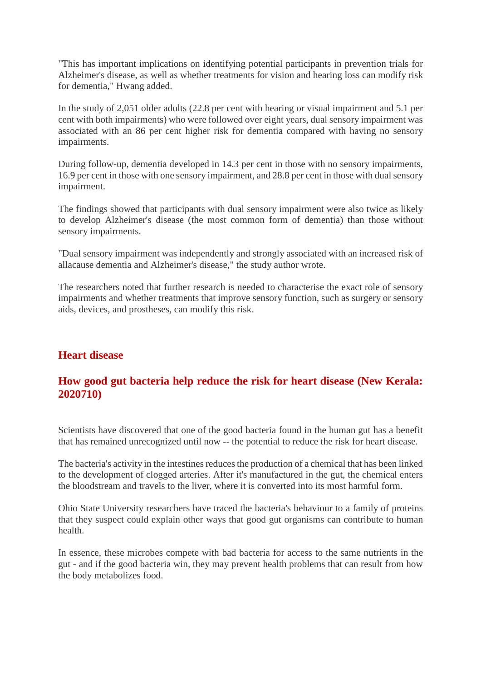"This has important implications on identifying potential participants in prevention trials for Alzheimer's disease, as well as whether treatments for vision and hearing loss can modify risk for dementia," Hwang added.

In the study of 2,051 older adults (22.8 per cent with hearing or visual impairment and 5.1 per cent with both impairments) who were followed over eight years, dual sensory impairment was associated with an 86 per cent higher risk for dementia compared with having no sensory impairments.

During follow-up, dementia developed in 14.3 per cent in those with no sensory impairments, 16.9 per cent in those with one sensory impairment, and 28.8 per cent in those with dual sensory impairment.

The findings showed that participants with dual sensory impairment were also twice as likely to develop Alzheimer's disease (the most common form of dementia) than those without sensory impairments.

"Dual sensory impairment was independently and strongly associated with an increased risk of allacause dementia and Alzheimer's disease," the study author wrote.

The researchers noted that further research is needed to characterise the exact role of sensory impairments and whether treatments that improve sensory function, such as surgery or sensory aids, devices, and prostheses, can modify this risk.

#### **Heart disease**

#### **How good gut bacteria help reduce the risk for heart disease (New Kerala: 2020710)**

Scientists have discovered that one of the good bacteria found in the human gut has a benefit that has remained unrecognized until now -- the potential to reduce the risk for heart disease.

The bacteria's activity in the intestines reduces the production of a chemical that has been linked to the development of clogged arteries. After it's manufactured in the gut, the chemical enters the bloodstream and travels to the liver, where it is converted into its most harmful form.

Ohio State University researchers have traced the bacteria's behaviour to a family of proteins that they suspect could explain other ways that good gut organisms can contribute to human health.

In essence, these microbes compete with bad bacteria for access to the same nutrients in the gut - and if the good bacteria win, they may prevent health problems that can result from how the body metabolizes food.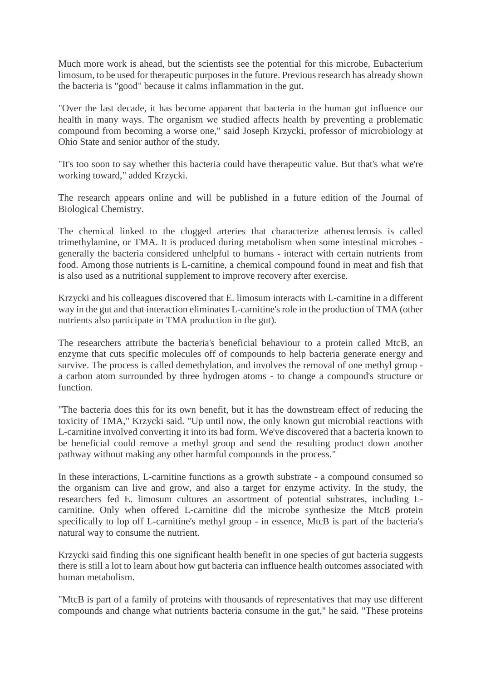Much more work is ahead, but the scientists see the potential for this microbe, Eubacterium limosum, to be used for therapeutic purposes in the future. Previous research has already shown the bacteria is "good" because it calms inflammation in the gut.

"Over the last decade, it has become apparent that bacteria in the human gut influence our health in many ways. The organism we studied affects health by preventing a problematic compound from becoming a worse one," said Joseph Krzycki, professor of microbiology at Ohio State and senior author of the study.

"It's too soon to say whether this bacteria could have therapeutic value. But that's what we're working toward," added Krzycki.

The research appears online and will be published in a future edition of the Journal of Biological Chemistry.

The chemical linked to the clogged arteries that characterize atherosclerosis is called trimethylamine, or TMA. It is produced during metabolism when some intestinal microbes generally the bacteria considered unhelpful to humans - interact with certain nutrients from food. Among those nutrients is L-carnitine, a chemical compound found in meat and fish that is also used as a nutritional supplement to improve recovery after exercise.

Krzycki and his colleagues discovered that E. limosum interacts with L-carnitine in a different way in the gut and that interaction eliminates L-carnitine's role in the production of TMA (other nutrients also participate in TMA production in the gut).

The researchers attribute the bacteria's beneficial behaviour to a protein called MtcB, an enzyme that cuts specific molecules off of compounds to help bacteria generate energy and survive. The process is called demethylation, and involves the removal of one methyl group a carbon atom surrounded by three hydrogen atoms - to change a compound's structure or function.

"The bacteria does this for its own benefit, but it has the downstream effect of reducing the toxicity of TMA," Krzycki said. "Up until now, the only known gut microbial reactions with L-carnitine involved converting it into its bad form. We've discovered that a bacteria known to be beneficial could remove a methyl group and send the resulting product down another pathway without making any other harmful compounds in the process."

In these interactions, L-carnitine functions as a growth substrate - a compound consumed so the organism can live and grow, and also a target for enzyme activity. In the study, the researchers fed E. limosum cultures an assortment of potential substrates, including Lcarnitine. Only when offered L-carnitine did the microbe synthesize the MtcB protein specifically to lop off L-carnitine's methyl group - in essence, MtcB is part of the bacteria's natural way to consume the nutrient.

Krzycki said finding this one significant health benefit in one species of gut bacteria suggests there is still a lot to learn about how gut bacteria can influence health outcomes associated with human metabolism.

"MtcB is part of a family of proteins with thousands of representatives that may use different compounds and change what nutrients bacteria consume in the gut," he said. "These proteins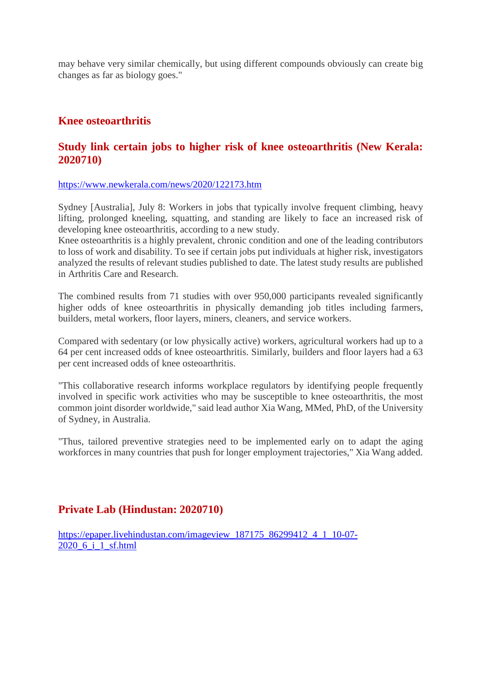may behave very similar chemically, but using different compounds obviously can create big changes as far as biology goes."

#### **Knee osteoarthritis**

#### **Study link certain jobs to higher risk of knee osteoarthritis (New Kerala: 2020710)**

https://www.newkerala.com/news/2020/122173.htm

Sydney [Australia], July 8: Workers in jobs that typically involve frequent climbing, heavy lifting, prolonged kneeling, squatting, and standing are likely to face an increased risk of developing knee osteoarthritis, according to a new study.

Knee osteoarthritis is a highly prevalent, chronic condition and one of the leading contributors to loss of work and disability. To see if certain jobs put individuals at higher risk, investigators analyzed the results of relevant studies published to date. The latest study results are published in Arthritis Care and Research.

The combined results from 71 studies with over 950,000 participants revealed significantly higher odds of knee osteoarthritis in physically demanding job titles including farmers, builders, metal workers, floor layers, miners, cleaners, and service workers.

Compared with sedentary (or low physically active) workers, agricultural workers had up to a 64 per cent increased odds of knee osteoarthritis. Similarly, builders and floor layers had a 63 per cent increased odds of knee osteoarthritis.

"This collaborative research informs workplace regulators by identifying people frequently involved in specific work activities who may be susceptible to knee osteoarthritis, the most common joint disorder worldwide," said lead author Xia Wang, MMed, PhD, of the University of Sydney, in Australia.

"Thus, tailored preventive strategies need to be implemented early on to adapt the aging workforces in many countries that push for longer employment trajectories," Xia Wang added.

#### **Private Lab (Hindustan: 2020710)**

https://epaper.livehindustan.com/imageview\_187175\_86299412\_4\_1\_10-07- 2020 6 i 1 sf.html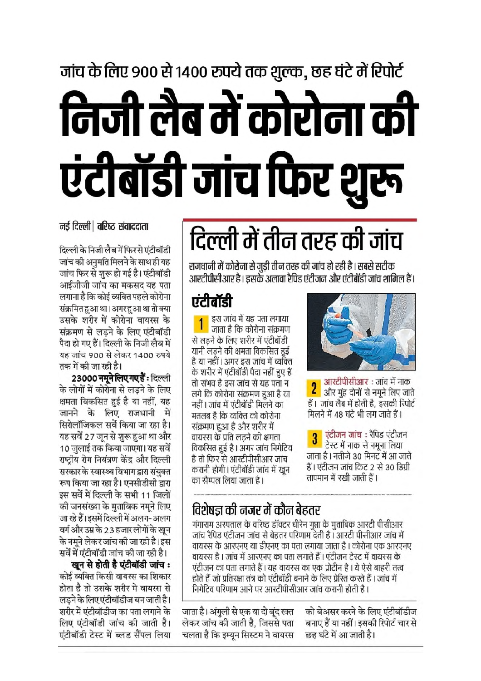# जांच के लिए 900 से 1400 रुपये तक शुल्क, छह घंटे में रिपोर्ट

# निजी लैब में कोरोना की एंटीबॉडी जांच फिर शुरू

नर्ड दिल्ली। वरिष्ट संवाददाता

दिल्ली के निजी लैब में फिर से एंटीबॉडी जांच की अनुमति मिलने के साथ ही यह जांच फिर से शुरू हो गई है। एंटीबॉडी आईजीजी जांच का मकसद यह पता लगाना है कि कोई व्यक्ति पहले कोरोना संक्रमित हुआ था। अगर हुआ था तो क्या उसके शरीर में कोरोना वायरस के संक्रमण से लडने के लिए एंटीबॉडी पैदा हो गए हैं। दिल्ली के निजी लैब में यह जांच 900 से लेकर 1400 रुपये तक में की जा रही है।

23000 नमने लिए गए हैं: दिल्ली के लोगों में कोरोना से लड़ने के लिए क्षमता विकसित हुई है या नहीं, यह जानने के लिए राजधानी में सिरोलॉजिकल सर्वे किया जा रहा है। यह सर्वे 27 जून से शुरू हुआ था और 10 जलाई तक किया जाएगा। यह सर्वे राष्टीय रोग नियंत्रण केंद्र और दिल्ली सरकार के स्वास्थ्य विभाग द्वारा संयुक्त रूप किया जा रहा है। एनसीडीसी द्वारा इस सर्वे में दिल्ली के सभी 11 जिलों की जनसंख्या के मुताबिक नमूने लिए जा रहे हैं। इसमें दिल्ली में अलग-अलग वर्ग और उम्र के 23 हजार लोगों के खन के नमने लेकर जांच की जा रही है। इस सर्वे में एंटीबॉडी जांच की जा रही है।

खुन से होती है एंटीबॉडी जांच : कोई व्यक्ति किसी वायरस का शिकार होता है तो उसके शरीर मे वायरस से लडने के लिए एंटीबॉडीज बन जाती है। शरीर में एंटीबॉडीज का पता लगाने के लिए एंटीबॉडी जांच की जाती है। एंटीबॉडी टेस्ट में ब्लड सैंपल लिया

# दिल्ली में तीन तरह की जांच

राजधानी में कोरोना से जुडी तीन तरह की जांच हो रही है। सबसे सटीक आरटीपीसीआर है। इसके अलावा रैपिड एंटीजन और एंटीबॉडी जांच शामिल हैं।

### एंटीबॉडी

इस जांच में यह पता लगाया जाता है कि कोरोना संक्रमण से लडने के लिए शरीर में एंटीबॉडी यानी लडने की क्षमता विकसित हुई है या नहीं। अगर इस जांच में व्यक्ति के शरीर में एंटीबॉडी पैदा नहीं हुए हैं तो संभव है इस जांच से यह पता न लगे कि कोरोना संक्रमण हुआ है या नहीं। जांच में एंटीबॉडी मिलने का मतलब है कि व्यक्ति को कोरोना संक्रमण हुआ है और शरीर में वायरस के प्रति लडने की क्षमता विकसित हुई है। अगर जांच निगेटिव है तो फिर से आरटीपीसीआर जांच करानी होगी। एंटीबॉडी जांच में खन का सैम्पल लिया जाता है।



आरटीपीसीआर: जांच में नाक 2 और मुंह दोनों से नमूने लिए जाते हैं। जांच लैब में होती है. इसकी रिपोर्ट मिलने में 48 घंटे भी लग जाते हैं।

<mark>।</mark> एंटीजन जांच : रैपिड एंटीजन टेस्ट में नाक से नमना लिया जाता है। नतीजे 30 मिनट में आ जाते हैं। एंटीजन जांच किट 2 से 30 डिग्री तापमान में रखी जाती हैं।

#### विशेषज्ञ की नजर में कौन बेहतर

गंगाराम अस्पताल के वरिष्ट डॉक्टर धीरेन गुप्ता के मुताबिक आरटी पीसीआर जांच रैपिड एंटीजन जांच से बेहतर परिणाम देती है। आरटी पीसीआर जांच में वायरस के आरएनए या डीएनए का पता लगाया जाता है। कोरोना एक आरएनए वायरस है । जांच में आरएनए का पता लगाते हैं । एंटीजन टेस्ट में वायरस के एंटीजन का पता लगाते हैं। यह वायरस का एक प्रोटीन है। ये ऐसे बाहरी तत्व होते हैं जो प्रतिरक्षा तंत्र को एंटीबॉडी बनाने के लिए प्रेरित करते हैं । जांच में निगेटिव परिणाम आने पर आरटीपीसीआर जांच करानी होती है।

जाता है। अंगुली से एक या दो बंद रक्त लेकर जांच की जाती है, जिससे पता चलता है कि इम्यन सिस्टम ने वायरस

को बेअसर करने के लिए एंटीबॉडीज बनाए हैं या नहीं। इसकी रिपोर्ट चार से छह घंटे में आ जाती है।